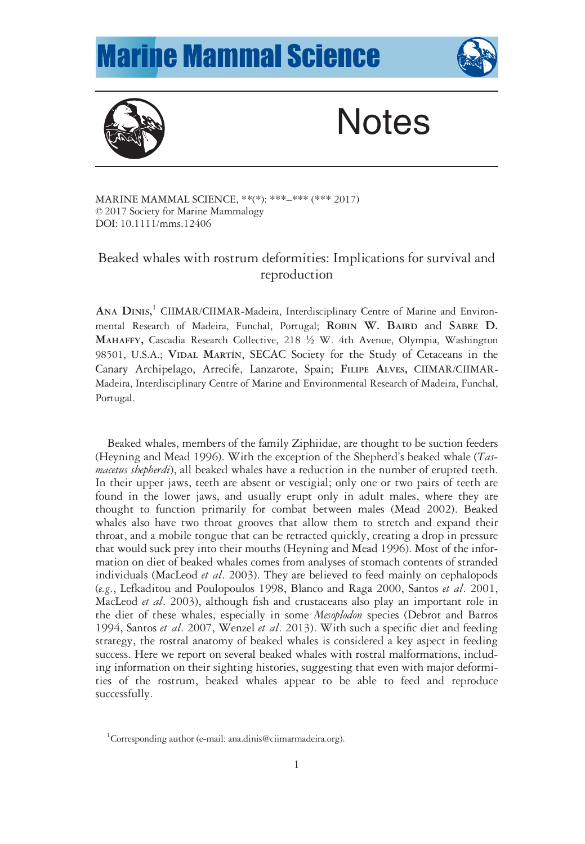## **Marine Mammal Science**





# **Notes**

MARINE MAMMAL SCIENCE, \*\*(\*): \*\*\*–\*\*\* (\*\*\* 2017) © 2017 Society for Marine Mammalogy DOI: 10.1111/mms.12406

## Beaked whales with rostrum deformities: Implications for survival and reproduction

ANA DINIS,<sup>1</sup> CIIMAR/CIIMAR-Madeira, Interdisciplinary Centre of Marine and Environmental Research of Madeira, Funchal, Portugal; ROBIN W. BAIRD and SABRE D. MAHAFFY, Cascadia Research Collective, 218 ½ W. 4th Avenue, Olympia, Washington 98501, U.S.A.; VIDAL MARTIN, SECAC Society for the Study of Cetaceans in the Canary Archipelago, Arrecife, Lanzarote, Spain; FILIPE ALVES, CIIMAR/CIIMAR-Madeira, Interdisciplinary Centre of Marine and Environmental Research of Madeira, Funchal, Portugal.

Beaked whales, members of the family Ziphiidae, are thought to be suction feeders (Heyning and Mead 1996). With the exception of the Shepherd's beaked whale  $(T_{as}$ macetus shepherdi), all beaked whales have a reduction in the number of erupted teeth. In their upper jaws, teeth are absent or vestigial; only one or two pairs of teeth are found in the lower jaws, and usually erupt only in adult males, where they are thought to function primarily for combat between males (Mead 2002). Beaked whales also have two throat grooves that allow them to stretch and expand their throat, and a mobile tongue that can be retracted quickly, creating a drop in pressure that would suck prey into their mouths (Heyning and Mead 1996). Most of the information on diet of beaked whales comes from analyses of stomach contents of stranded individuals (MacLeod et al. 2003). They are believed to feed mainly on cephalopods (e.g., Lefkaditou and Poulopoulos 1998, Blanco and Raga 2000, Santos et al. 2001, MacLeod *et al.* 2003), although fish and crustaceans also play an important role in the diet of these whales, especially in some *Mesoplodon* species (Debrot and Barros 1994, Santos et al. 2007, Wenzel et al. 2013). With such a specific diet and feeding strategy, the rostral anatomy of beaked whales is considered a key aspect in feeding success. Here we report on several beaked whales with rostral malformations, including information on their sighting histories, suggesting that even with major deformities of the rostrum, beaked whales appear to be able to feed and reproduce successfully.

<sup>&</sup>lt;sup>1</sup>Corresponding author (e-mail: [ana.dinis@ciimarmadeira.org](mailto:ana.dinis@ciimarmadeira.org)).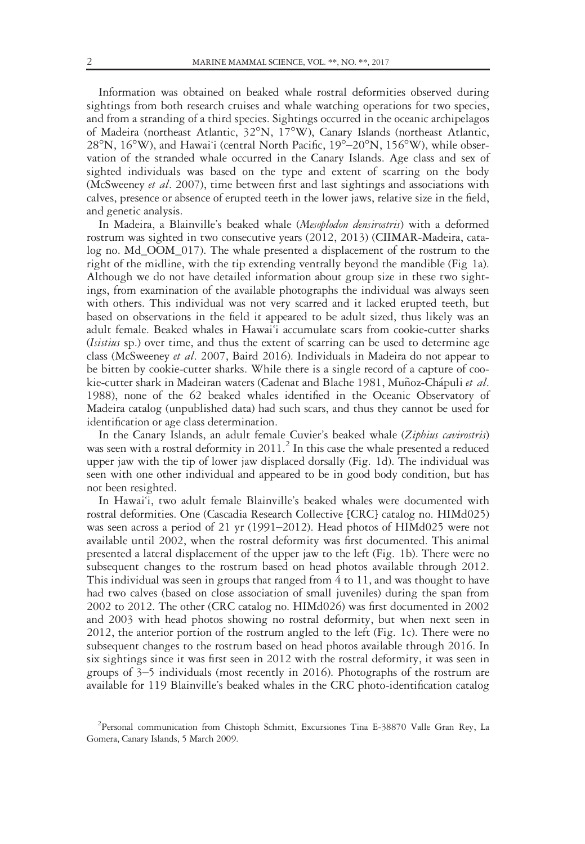Information was obtained on beaked whale rostral deformities observed during sightings from both research cruises and whale watching operations for two species, and from a stranding of a third species. Sightings occurred in the oceanic archipelagos of Madeira (northeast Atlantic, 32°N, 17°W), Canary Islands (northeast Atlantic,  $28^{\circ}$ N,  $16^{\circ}$ W), and Hawai'i (central North Pacific,  $19^{\circ}$ – $20^{\circ}$ N,  $156^{\circ}$ W), while observation of the stranded whale occurred in the Canary Islands. Age class and sex of sighted individuals was based on the type and extent of scarring on the body (McSweeney et al. 2007), time between first and last sightings and associations with calves, presence or absence of erupted teeth in the lower jaws, relative size in the field, and genetic analysis.

In Madeira, a Blainville's beaked whale (Mesoplodon densirostris) with a deformed rostrum was sighted in two consecutive years (2012, 2013) (CIIMAR-Madeira, catalog no. Md\_OOM\_017). The whale presented a displacement of the rostrum to the right of the midline, with the tip extending ventrally beyond the mandible (Fig 1a). Although we do not have detailed information about group size in these two sightings, from examination of the available photographs the individual was always seen with others. This individual was not very scarred and it lacked erupted teeth, but based on observations in the field it appeared to be adult sized, thus likely was an adult female. Beaked whales in Hawai'i accumulate scars from cookie-cutter sharks (Isistius sp.) over time, and thus the extent of scarring can be used to determine age class (McSweeney et al. 2007, Baird 2016). Individuals in Madeira do not appear to be bitten by cookie-cutter sharks. While there is a single record of a capture of cookie-cutter shark in Madeiran waters (Cadenat and Blache 1981, Muñoz-Chápuli et al. 1988), none of the 62 beaked whales identified in the Oceanic Observatory of Madeira catalog (unpublished data) had such scars, and thus they cannot be used for identification or age class determination.

In the Canary Islands, an adult female Cuvier's beaked whale (Ziphius cavirostris) was seen with a rostral deformity in  $2011$ .<sup>2</sup> In this case the whale presented a reduced upper jaw with the tip of lower jaw displaced dorsally (Fig. 1d). The individual was seen with one other individual and appeared to be in good body condition, but has not been resighted.

In Hawai'i, two adult female Blainville's beaked whales were documented with rostral deformities. One (Cascadia Research Collective [CRC] catalog no. HIMd025) was seen across a period of 21 yr (1991–2012). Head photos of HIMd025 were not available until 2002, when the rostral deformity was first documented. This animal presented a lateral displacement of the upper jaw to the left (Fig. 1b). There were no subsequent changes to the rostrum based on head photos available through 2012. This individual was seen in groups that ranged from  $4$  to 11, and was thought to have had two calves (based on close association of small juveniles) during the span from 2002 to 2012. The other (CRC catalog no. HIMd026) was first documented in 2002 and 2003 with head photos showing no rostral deformity, but when next seen in 2012, the anterior portion of the rostrum angled to the left (Fig. 1c). There were no subsequent changes to the rostrum based on head photos available through 2016. In six sightings since it was first seen in 2012 with the rostral deformity, it was seen in groups of 3–5 individuals (most recently in 2016). Photographs of the rostrum are available for 119 Blainville's beaked whales in the CRC photo-identification catalog

<sup>&</sup>lt;sup>2</sup> Personal communication from Chistoph Schmitt, Excursiones Tina E-38870 Valle Gran Rey, La Gomera, Canary Islands, 5 March 2009.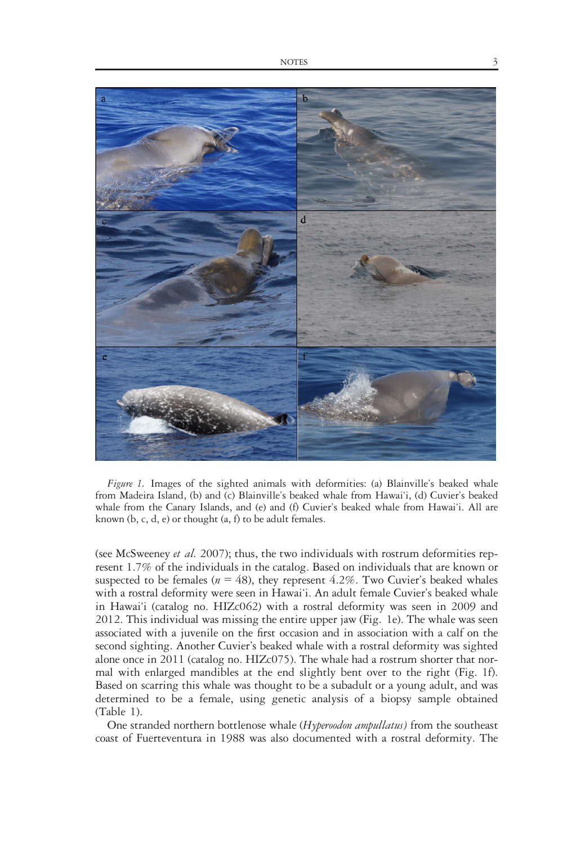

Figure 1. Images of the sighted animals with deformities: (a) Blainville's beaked whale from Madeira Island, (b) and (c) Blainville's beaked whale from Hawai'i, (d) Cuvier's beaked whale from the Canary Islands, and (e) and (f) Cuvier's beaked whale from Hawai'i. All are known (b, c, d, e) or thought (a, f) to be adult females.

(see McSweeney *et al.* 2007); thus, the two individuals with rostrum deformities represent 1.7% of the individuals in the catalog. Based on individuals that are known or suspected to be females ( $n = 48$ ), they represent 4.2%. Two Cuvier's beaked whales with a rostral deformity were seen in Hawai'i. An adult female Cuvier's beaked whale in Hawai'i (catalog no. HIZc062) with a rostral deformity was seen in 2009 and 2012. This individual was missing the entire upper jaw (Fig. 1e). The whale was seen associated with a juvenile on the first occasion and in association with a calf on the second sighting. Another Cuvier's beaked whale with a rostral deformity was sighted alone once in 2011 (catalog no. HIZc075). The whale had a rostrum shorter that normal with enlarged mandibles at the end slightly bent over to the right (Fig. 1f). Based on scarring this whale was thought to be a subadult or a young adult, and was determined to be a female, using genetic analysis of a biopsy sample obtained (Table 1).

One stranded northern bottlenose whale (Hyperoodon ampullatus) from the southeast coast of Fuerteventura in 1988 was also documented with a rostral deformity. The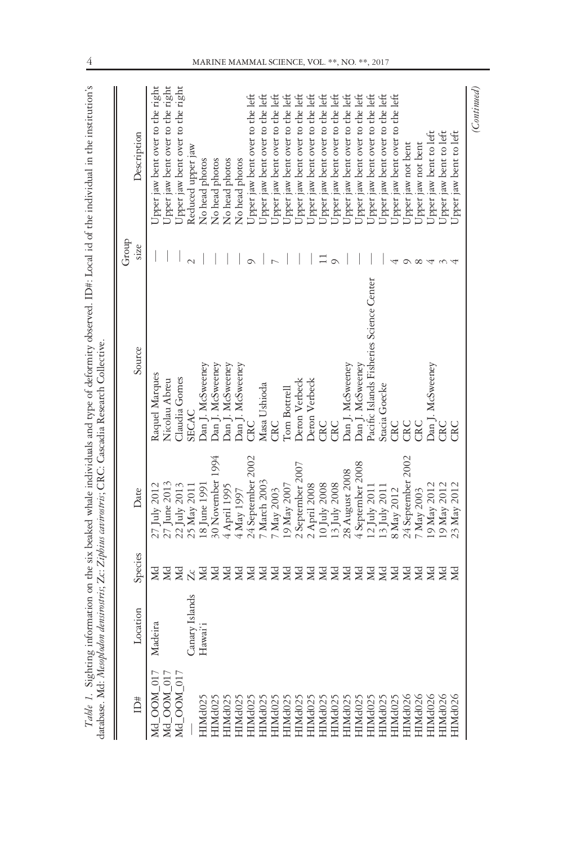|                     |                |                |                   | Table 1. Sighting information on the six beaked whale individuals and type of deformity observed. ID#: Local id of the individual in the institution's<br>database. Md: Mesoplodon densirostris; Zc: Zipbius cavirostris; CRC: Cascadia Research Collective. |               |                                  |
|---------------------|----------------|----------------|-------------------|--------------------------------------------------------------------------------------------------------------------------------------------------------------------------------------------------------------------------------------------------------------|---------------|----------------------------------|
| #CI                 | Location       | Species        | Date              | Source                                                                                                                                                                                                                                                       | Group<br>size | Description                      |
| $Md\_COM\_017$      | Madeira        | ЯÄ             | 27 July 2012      | Raquel Marques                                                                                                                                                                                                                                               |               | Upper jaw bent over to the right |
| Md_OOM_017          |                | Md             | 27 June 2013      | Nicolau Abreu                                                                                                                                                                                                                                                |               | Upper jaw bent over to the right |
| Md_OOM_017          |                | ЯÄ             | 22 July 2013      | Claudia Gomes                                                                                                                                                                                                                                                |               | Upper jaw bent over to the right |
|                     | Canary Islands | $\overline{Z}$ | 25 May 2011       | <b>SECAC</b>                                                                                                                                                                                                                                                 |               | Reduced upper jaw                |
| HIMd025             | Hawai'i        | ЯÄ             | 18 June 1991      | Dan J. McSweeney                                                                                                                                                                                                                                             |               | No head photos                   |
| HIMd025             |                | <b>N</b>       | 30 November 1994  | Dan J. McSweeney                                                                                                                                                                                                                                             |               | No head photos                   |
| HIMd <sub>02</sub>  |                | Md             | 4 April 1995      | Dan J. McSweeney                                                                                                                                                                                                                                             |               | No head photos                   |
| HIMd <sub>02</sub>  |                | Md             | 4 May 1997        | Dan J. McSweeney                                                                                                                                                                                                                                             |               | No head photos                   |
| HIMd <sub>02</sub>  |                | M              | 24 September 2002 | CRC                                                                                                                                                                                                                                                          |               | Upper jaw bent over to the left  |
| HIMd <sub>02</sub>  |                | Md             | 7 March 2003      | Masa Ushioda                                                                                                                                                                                                                                                 |               | Upper jaw bent over to the left  |
| HIMd025             |                | M              | 7 May 2003        | CRC                                                                                                                                                                                                                                                          |               | Upper jaw bent over to the left  |
| HIMd <sub>02</sub>  |                | Md             | 9 May 2007        | Tom Bottrell                                                                                                                                                                                                                                                 |               | Upper jaw bent over to the left  |
| HIMd <sub>02</sub>  |                | M              | 2 September 2007  | Deron Verbeck                                                                                                                                                                                                                                                |               | Upper jaw bent over to the left  |
| HIMd025             |                | M              | 2 April 2008      | Deron Verbeck                                                                                                                                                                                                                                                |               | Upper jaw bent over to the left  |
| HIMd02'             |                | Md             | 10 July 2008      | CRC                                                                                                                                                                                                                                                          |               | Upper jaw bent over to the left  |
| HIMd <sub>02</sub>  |                | Md             | 13 July 2008      | CRC                                                                                                                                                                                                                                                          |               | Upper jaw bent over to the left  |
| HIMd02              |                | M              | 28 August 2008    | Dan J. McSweeney                                                                                                                                                                                                                                             |               | Upper jaw bent over to the left  |
| HIMd025             |                | Md             | 4 September 2008  | Dan J. McSweeney                                                                                                                                                                                                                                             |               | Upper jaw bent over to the left  |
| HIMd025             |                | <b>E</b> E     | 12 July 2011      | Pacific Islands Fisheries Science Center                                                                                                                                                                                                                     |               | Upper jaw bent over to the left  |
| HIMd <sub>025</sub> |                |                | 13 July 2011      | Stacia Goecke                                                                                                                                                                                                                                                |               | Upper jaw bent over to the left  |
| HIMd <sub>025</sub> |                | <b>N</b>       | 8 May 2012        | CRC                                                                                                                                                                                                                                                          |               | Upper jaw bent over to the left  |
| HIMd <sub>026</sub> |                | Md             | 24 September 2002 | CRC                                                                                                                                                                                                                                                          |               | Upper jaw not bent               |
| HIMd <sub>026</sub> |                | <b>AR</b>      | 7 May 2003        | Ğ                                                                                                                                                                                                                                                            | $^{\circ}$    | Upper jaw not bent               |
| HIMd <sub>026</sub> |                |                | 19 May 2012       | Dan J. McSweeney                                                                                                                                                                                                                                             | 4             | Upper jaw bent to left           |
| HIMd026             |                | УM             | 19 May 2012       | CRC                                                                                                                                                                                                                                                          |               | Upper jaw bent to left           |
| HIMd026             |                | X              | 23 May 2012       | CRC                                                                                                                                                                                                                                                          |               | Upper jaw bent to left           |
|                     |                |                |                   |                                                                                                                                                                                                                                                              |               | (Continued)                      |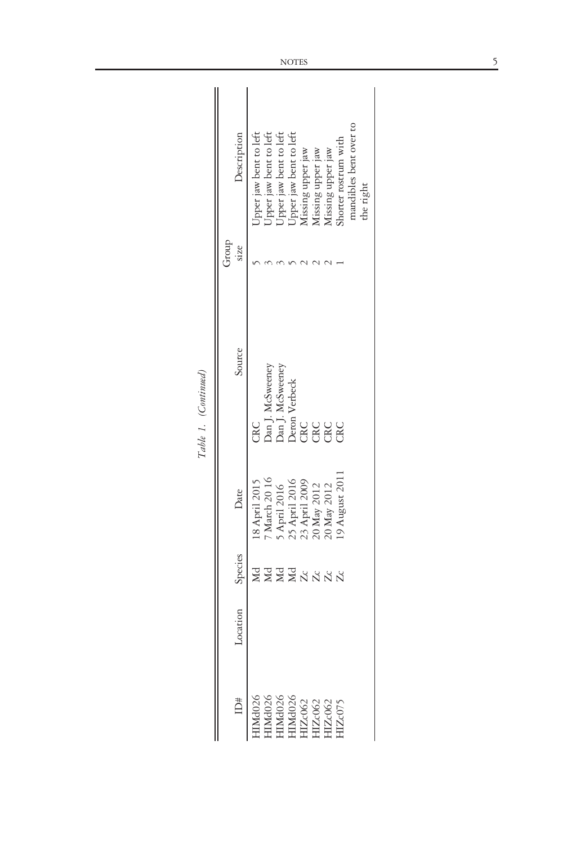$\mathbf{H}$ 

|       | Description    | pper jaw bent to left                                                                                                                                                                              |            |   |    | Upper jaw bent to left<br>Upper jaw bent to left<br>Upper jaw bent to left<br>Missing upper jaw | Aissing upper jaw                                                            | Aissing upper jaw | horter rostrum with | nandibles bent over to | che right |
|-------|----------------|----------------------------------------------------------------------------------------------------------------------------------------------------------------------------------------------------|------------|---|----|-------------------------------------------------------------------------------------------------|------------------------------------------------------------------------------|-------------------|---------------------|------------------------|-----------|
|       |                |                                                                                                                                                                                                    |            |   |    |                                                                                                 |                                                                              |                   |                     |                        |           |
| qnon. | <b>SIZE</b>    |                                                                                                                                                                                                    |            |   |    |                                                                                                 |                                                                              |                   |                     |                        |           |
|       | Source         | CRC                                                                                                                                                                                                |            |   |    |                                                                                                 | Dan J. McSweeney<br>Dan J. McSweeney<br>Deron Verbeck<br>CRC<br>CRC<br>CRC   |                   |                     |                        |           |
|       | Date           | 8 April 2015                                                                                                                                                                                       | March 2016 |   |    |                                                                                                 | 5 April 2016<br>25 April 2016<br>23 April 2009<br>20 May 2012<br>20 May 2012 |                   | 9 August 201        |                        |           |
|       | Species        |                                                                                                                                                                                                    |            | Ğ | Md |                                                                                                 | $\frac{1}{2}$ $\frac{1}{2}$ $\frac{1}{2}$                                    |                   | Zc                  |                        |           |
|       | 1001<br>-ocati |                                                                                                                                                                                                    |            |   |    |                                                                                                 |                                                                              |                   |                     |                        |           |
|       | D#             | $\begin{array}{l} {\rm HMd026} \\ {\rm HMd026} \\ {\rm HMd026} \\ {\rm HMd026} \\ {\rm HMd026} \\ {\rm HMd026} \\ {\rm HIZc062} \\ {\rm HIZc062} \\ {\rm HIZc062} \\ {\rm HIZc075} \\ \end{array}$ |            |   |    |                                                                                                 |                                                                              |                   |                     |                        |           |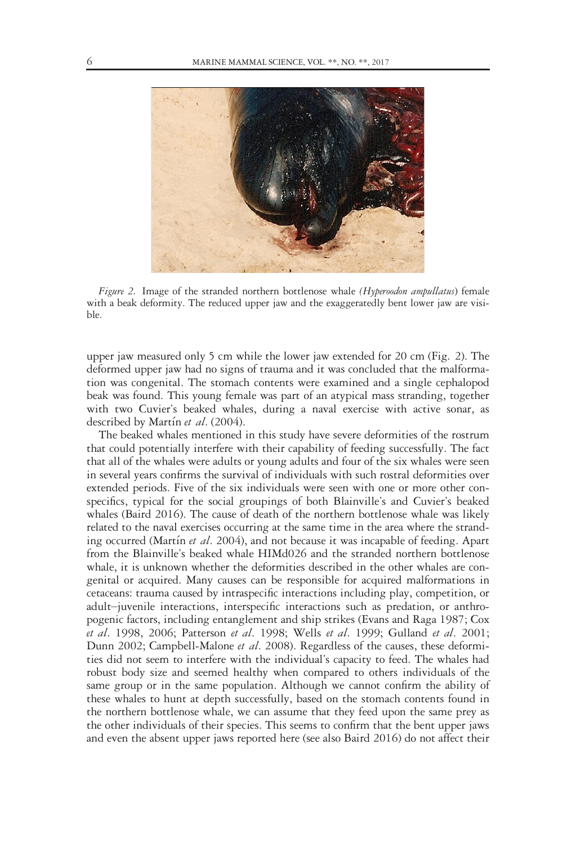

Figure 2. Image of the stranded northern bottlenose whale (Hyperoodon ampullatus) female with a beak deformity. The reduced upper jaw and the exaggeratedly bent lower jaw are visible.

upper jaw measured only 5 cm while the lower jaw extended for 20 cm (Fig. 2). The deformed upper jaw had no signs of trauma and it was concluded that the malformation was congenital. The stomach contents were examined and a single cephalopod beak was found. This young female was part of an atypical mass stranding, together with two Cuvier's beaked whales, during a naval exercise with active sonar, as described by Martín et al. (2004).

The beaked whales mentioned in this study have severe deformities of the rostrum that could potentially interfere with their capability of feeding successfully. The fact that all of the whales were adults or young adults and four of the six whales were seen in several years confirms the survival of individuals with such rostral deformities over extended periods. Five of the six individuals were seen with one or more other conspecifics, typical for the social groupings of both Blainville's and Cuvier's beaked whales (Baird 2016). The cause of death of the northern bottlenose whale was likely related to the naval exercises occurring at the same time in the area where the stranding occurred (Martín et al. 2004), and not because it was incapable of feeding. Apart from the Blainville's beaked whale HIMd026 and the stranded northern bottlenose whale, it is unknown whether the deformities described in the other whales are congenital or acquired. Many causes can be responsible for acquired malformations in cetaceans: trauma caused by intraspecific interactions including play, competition, or adult–juvenile interactions, interspecific interactions such as predation, or anthropogenic factors, including entanglement and ship strikes (Evans and Raga 1987; Cox et al. 1998, 2006; Patterson et al. 1998; Wells et al. 1999; Gulland et al. 2001; Dunn 2002; Campbell-Malone et al. 2008). Regardless of the causes, these deformities did not seem to interfere with the individual's capacity to feed. The whales had robust body size and seemed healthy when compared to others individuals of the same group or in the same population. Although we cannot confirm the ability of these whales to hunt at depth successfully, based on the stomach contents found in the northern bottlenose whale, we can assume that they feed upon the same prey as the other individuals of their species. This seems to confirm that the bent upper jaws and even the absent upper jaws reported here (see also Baird 2016) do not affect their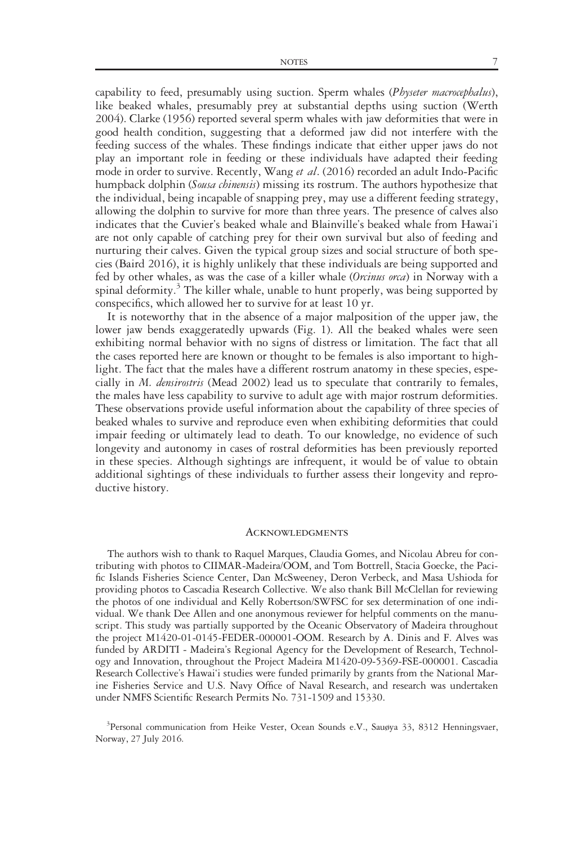capability to feed, presumably using suction. Sperm whales (Physeter macrocephalus), like beaked whales, presumably prey at substantial depths using suction (Werth 2004). Clarke (1956) reported several sperm whales with jaw deformities that were in good health condition, suggesting that a deformed jaw did not interfere with the feeding success of the whales. These findings indicate that either upper jaws do not play an important role in feeding or these individuals have adapted their feeding mode in order to survive. Recently, Wang et al. (2016) recorded an adult Indo-Pacific humpback dolphin (Sousa chinensis) missing its rostrum. The authors hypothesize that the individual, being incapable of snapping prey, may use a different feeding strategy, allowing the dolphin to survive for more than three years. The presence of calves also indicates that the Cuvier's beaked whale and Blainville's beaked whale from Hawai'i are not only capable of catching prey for their own survival but also of feeding and nurturing their calves. Given the typical group sizes and social structure of both species (Baird 2016), it is highly unlikely that these individuals are being supported and fed by other whales, as was the case of a killer whale (Orcinus orca) in Norway with a spinal deformity.<sup>3</sup> The killer whale, unable to hunt properly, was being supported by conspecifics, which allowed her to survive for at least 10 yr.

It is noteworthy that in the absence of a major malposition of the upper jaw, the lower jaw bends exaggeratedly upwards (Fig. 1). All the beaked whales were seen exhibiting normal behavior with no signs of distress or limitation. The fact that all the cases reported here are known or thought to be females is also important to highlight. The fact that the males have a different rostrum anatomy in these species, especially in *M. densirostris* (Mead 2002) lead us to speculate that contrarily to females, the males have less capability to survive to adult age with major rostrum deformities. These observations provide useful information about the capability of three species of beaked whales to survive and reproduce even when exhibiting deformities that could impair feeding or ultimately lead to death. To our knowledge, no evidence of such longevity and autonomy in cases of rostral deformities has been previously reported in these species. Although sightings are infrequent, it would be of value to obtain additional sightings of these individuals to further assess their longevity and reproductive history.

#### **ACKNOWLEDGMENTS**

The authors wish to thank to Raquel Marques, Claudia Gomes, and Nicolau Abreu for contributing with photos to CIIMAR-Madeira/OOM, and Tom Bottrell, Stacia Goecke, the Pacific Islands Fisheries Science Center, Dan McSweeney, Deron Verbeck, and Masa Ushioda for providing photos to Cascadia Research Collective. We also thank Bill McClellan for reviewing the photos of one individual and Kelly Robertson/SWFSC for sex determination of one individual. We thank Dee Allen and one anonymous reviewer for helpful comments on the manuscript. This study was partially supported by the Oceanic Observatory of Madeira throughout the project M1420-01-0145-FEDER-000001-OOM. Research by A. Dinis and F. Alves was funded by ARDITI - Madeira's Regional Agency for the Development of Research, Technology and Innovation, throughout the Project Madeira M1420-09-5369-FSE-000001. Cascadia Research Collective's Hawai'i studies were funded primarily by grants from the National Marine Fisheries Service and U.S. Navy Office of Naval Research, and research was undertaken under NMFS Scientific Research Permits No. 731-1509 and 15330.

<sup>3</sup>Personal communication from Heike Vester, Ocean Sounds e.V., Sauøya 33, 8312 Henningsvaer, Norway, 27 July 2016.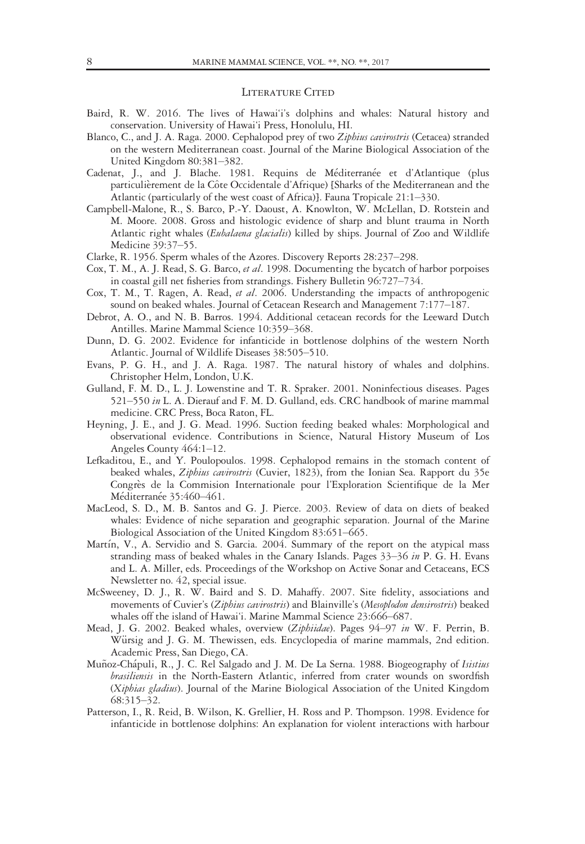### LITERATURE CITED

- Baird, R. W. 2016. The lives of Hawai'i's dolphins and whales: Natural history and conservation. University of Hawai'i Press, Honolulu, HI.
- Blanco, C., and J. A. Raga. 2000. Cephalopod prey of two Ziphius cavirostris (Cetacea) stranded on the western Mediterranean coast. Journal of the Marine Biological Association of the United Kingdom 80:381–382.
- Cadenat, J., and J. Blache. 1981. Requins de Méditerranée et d'Atlantique (plus particulierement de la C^ote Occidentale d'Afrique) [Sharks of the Mediterranean and the Atlantic (particularly of the west coast of Africa)]. Fauna Tropicale 21:1–330.
- Campbell-Malone, R., S. Barco, P.-Y. Daoust, A. Knowlton, W. McLellan, D. Rotstein and M. Moore. 2008. Gross and histologic evidence of sharp and blunt trauma in North Atlantic right whales (Eubalaena glacialis) killed by ships. Journal of Zoo and Wildlife Medicine 39:37–55.
- Clarke, R. 1956. Sperm whales of the Azores. Discovery Reports 28:237–298.
- Cox, T. M., A. J. Read, S. G. Barco, et al. 1998. Documenting the bycatch of harbor porpoises in coastal gill net fisheries from strandings. Fishery Bulletin 96:727–734.
- Cox, T. M., T. Ragen, A. Read, et al. 2006. Understanding the impacts of anthropogenic sound on beaked whales. Journal of Cetacean Research and Management 7:177–187.
- Debrot, A. O., and N. B. Barros. 1994. Additional cetacean records for the Leeward Dutch Antilles. Marine Mammal Science 10:359–368.
- Dunn, D. G. 2002. Evidence for infanticide in bottlenose dolphins of the western North Atlantic. Journal of Wildlife Diseases 38:505–510.
- Evans, P. G. H., and J. A. Raga. 1987. The natural history of whales and dolphins. Christopher Helm, London, U.K.
- Gulland, F. M. D., L. J. Lowenstine and T. R. Spraker. 2001. Noninfectious diseases. Pages 521–550 in L. A. Dierauf and F. M. D. Gulland, eds. CRC handbook of marine mammal medicine. CRC Press, Boca Raton, FL.
- Heyning, J. E., and J. G. Mead. 1996. Suction feeding beaked whales: Morphological and observational evidence. Contributions in Science, Natural History Museum of Los Angeles County 464:1–12.
- Lefkaditou, E., and Y. Poulopoulos. 1998. Cephalopod remains in the stomach content of beaked whales, Ziphius cavirostris (Cuvier, 1823), from the Ionian Sea. Rapport du 35e Congrès de la Commision Internationale pour l'Exploration Scientifique de la Mer Méditerranée 35:460-461.
- MacLeod, S. D., M. B. Santos and G. J. Pierce. 2003. Review of data on diets of beaked whales: Evidence of niche separation and geographic separation. Journal of the Marine Biological Association of the United Kingdom 83:651–665.
- Martín, V., A. Servidio and S. Garcia. 2004. Summary of the report on the atypical mass stranding mass of beaked whales in the Canary Islands. Pages 33–36 in P. G. H. Evans and L. A. Miller, eds. Proceedings of the Workshop on Active Sonar and Cetaceans, ECS Newsletter no. 42, special issue.
- McSweeney, D. J., R. W. Baird and S. D. Mahaffy. 2007. Site fidelity, associations and movements of Cuvier's (Ziphius cavirostris) and Blainville's (Mesoplodon densirostris) beaked whales off the island of Hawai'i. Marine Mammal Science 23:666–687.
- Mead, J. G. 2002. Beaked whales, overview (Ziphiidae). Pages 94-97 in W. F. Perrin, B. Würsig and J. G. M. Thewissen, eds. Encyclopedia of marine mammals, 2nd edition. Academic Press, San Diego, CA.
- Muñoz-Chápuli, R., J. C. Rel Salgado and J. M. De La Serna. 1988. Biogeography of Isistius brasiliensis in the North-Eastern Atlantic, inferred from crater wounds on swordfish (Xiphias gladius). Journal of the Marine Biological Association of the United Kingdom 68:315–32.
- Patterson, I., R. Reid, B. Wilson, K. Grellier, H. Ross and P. Thompson. 1998. Evidence for infanticide in bottlenose dolphins: An explanation for violent interactions with harbour